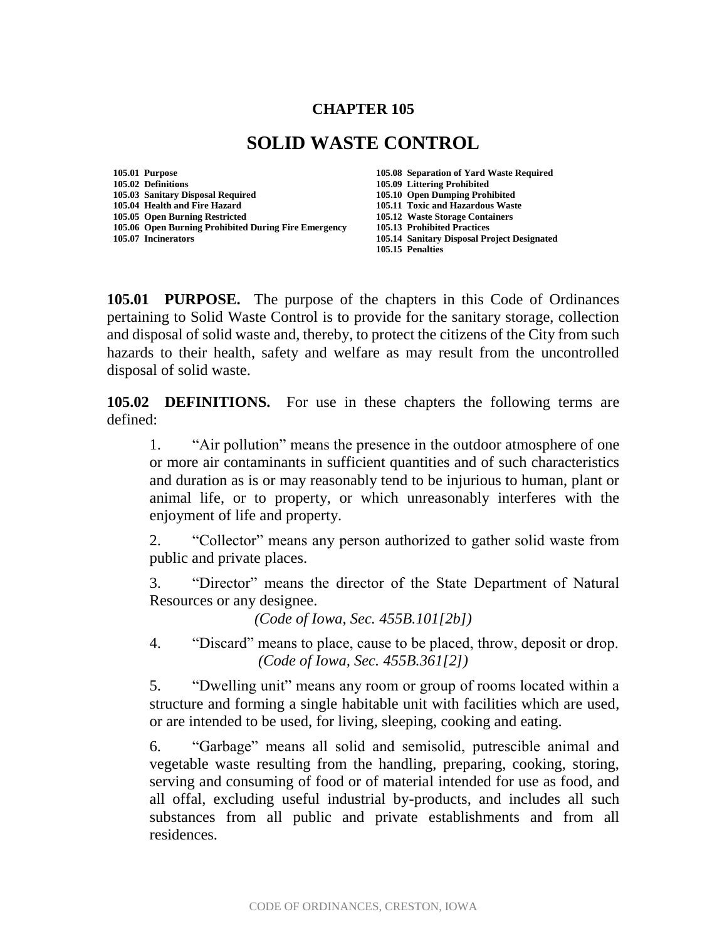#### **CHAPTER 105**

# **SOLID WASTE CONTROL**

**105.01 Purpose 105.08 Separation of Yard Waste Required 105.02 Definitions 105.09 Littering Prohibited 105.03 Sanitary Disposal Required 105.04 Health and Fire Hazard 105.11 Toxic and Hazardous Waste 105.06 Open Burning Prohibited During Fire Emergency 105.13 Prohibited Practices 105.07 Incinerators 105.14 Sanitary Disposal Project Designated**

**105.12 Waste Storage Containers 105.15 Penalties**

**105.01 PURPOSE.** The purpose of the chapters in this Code of Ordinances pertaining to Solid Waste Control is to provide for the sanitary storage, collection and disposal of solid waste and, thereby, to protect the citizens of the City from such hazards to their health, safety and welfare as may result from the uncontrolled disposal of solid waste.

**105.02 DEFINITIONS.** For use in these chapters the following terms are defined:

1. "Air pollution" means the presence in the outdoor atmosphere of one or more air contaminants in sufficient quantities and of such characteristics and duration as is or may reasonably tend to be injurious to human, plant or animal life, or to property, or which unreasonably interferes with the enjoyment of life and property.

2. "Collector" means any person authorized to gather solid waste from public and private places.

3. "Director" means the director of the State Department of Natural Resources or any designee.

*(Code of Iowa, Sec. 455B.101[2b])* 

4. "Discard" means to place, cause to be placed, throw, deposit or drop. *(Code of Iowa, Sec. 455B.361[2])* 

5. "Dwelling unit" means any room or group of rooms located within a structure and forming a single habitable unit with facilities which are used, or are intended to be used, for living, sleeping, cooking and eating.

6. "Garbage" means all solid and semisolid, putrescible animal and vegetable waste resulting from the handling, preparing, cooking, storing, serving and consuming of food or of material intended for use as food, and all offal, excluding useful industrial by-products, and includes all such substances from all public and private establishments and from all residences.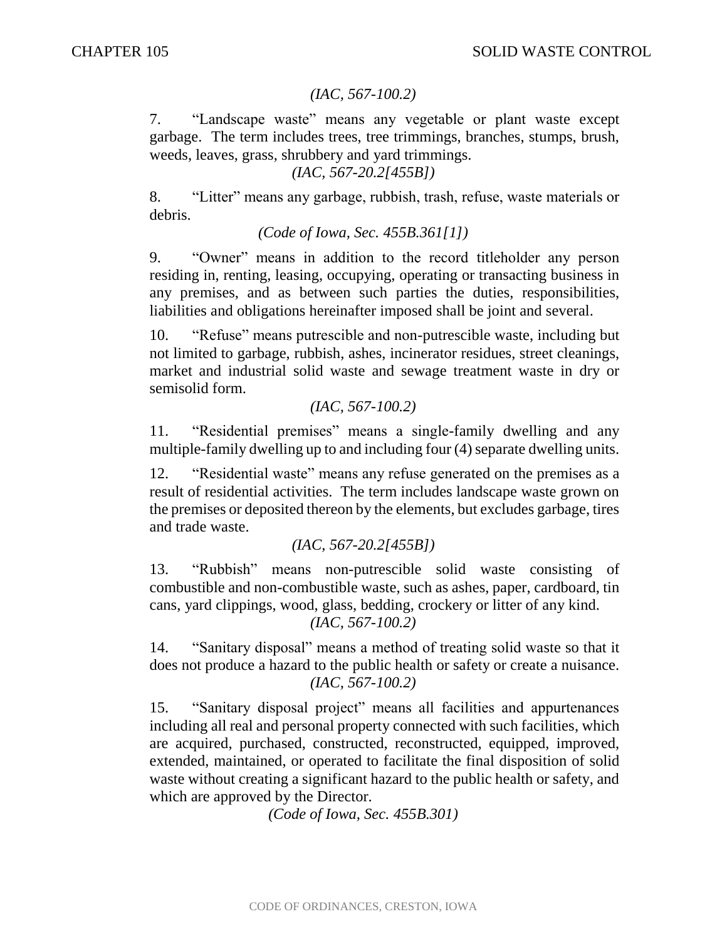#### *(IAC, 567-100.2)*

7. "Landscape waste" means any vegetable or plant waste except garbage. The term includes trees, tree trimmings, branches, stumps, brush, weeds, leaves, grass, shrubbery and yard trimmings.

*(IAC, 567-20.2[455B])*

8. "Litter" means any garbage, rubbish, trash, refuse, waste materials or debris.

*(Code of Iowa, Sec. 455B.361[1])* 

9. "Owner" means in addition to the record titleholder any person residing in, renting, leasing, occupying, operating or transacting business in any premises, and as between such parties the duties, responsibilities, liabilities and obligations hereinafter imposed shall be joint and several.

10. "Refuse" means putrescible and non-putrescible waste, including but not limited to garbage, rubbish, ashes, incinerator residues, street cleanings, market and industrial solid waste and sewage treatment waste in dry or semisolid form.

*(IAC, 567-100.2)*

11. "Residential premises" means a single-family dwelling and any multiple-family dwelling up to and including four (4) separate dwelling units.

12. "Residential waste" means any refuse generated on the premises as a result of residential activities. The term includes landscape waste grown on the premises or deposited thereon by the elements, but excludes garbage, tires and trade waste.

*(IAC, 567-20.2[455B])*

13. "Rubbish" means non-putrescible solid waste consisting of combustible and non-combustible waste, such as ashes, paper, cardboard, tin cans, yard clippings, wood, glass, bedding, crockery or litter of any kind.

*(IAC, 567-100.2)*

14. "Sanitary disposal" means a method of treating solid waste so that it does not produce a hazard to the public health or safety or create a nuisance. *(IAC, 567-100.2)*

15. "Sanitary disposal project" means all facilities and appurtenances including all real and personal property connected with such facilities, which are acquired, purchased, constructed, reconstructed, equipped, improved, extended, maintained, or operated to facilitate the final disposition of solid waste without creating a significant hazard to the public health or safety, and which are approved by the Director.

*(Code of Iowa, Sec. 455B.301)*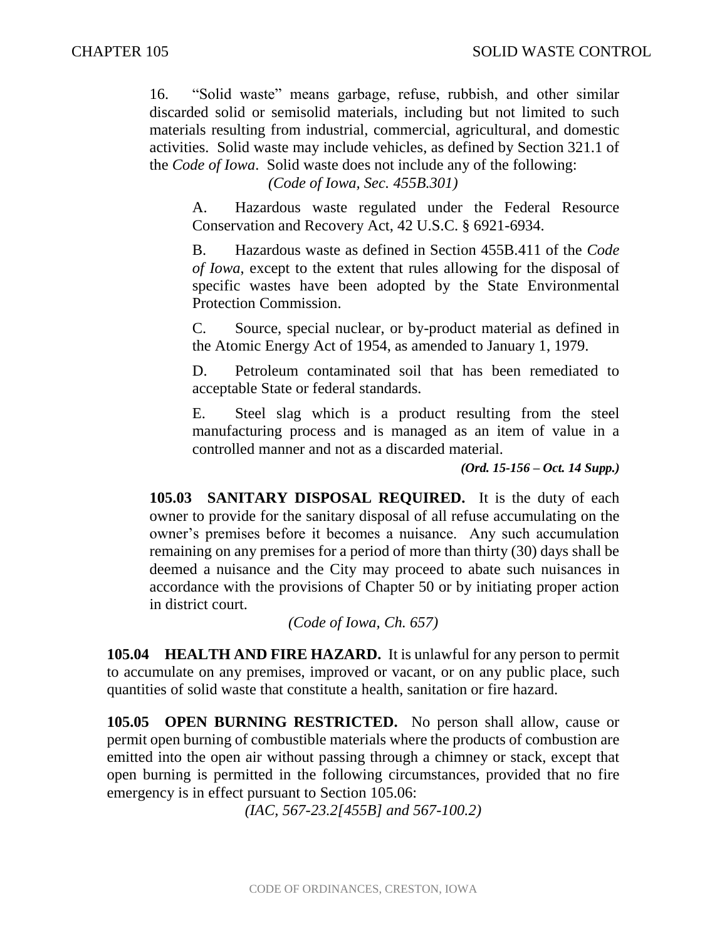16. "Solid waste" means garbage, refuse, rubbish, and other similar discarded solid or semisolid materials, including but not limited to such materials resulting from industrial, commercial, agricultural, and domestic activities. Solid waste may include vehicles, as defined by Section 321.1 of the *Code of Iowa*. Solid waste does not include any of the following:

*(Code of Iowa, Sec. 455B.301)*

A. Hazardous waste regulated under the Federal Resource Conservation and Recovery Act, 42 U.S.C. § 6921-6934.

B. Hazardous waste as defined in Section 455B.411 of the *Code of Iowa*, except to the extent that rules allowing for the disposal of specific wastes have been adopted by the State Environmental Protection Commission.

C. Source, special nuclear, or by-product material as defined in the Atomic Energy Act of 1954, as amended to January 1, 1979.

D. Petroleum contaminated soil that has been remediated to acceptable State or federal standards.

E. Steel slag which is a product resulting from the steel manufacturing process and is managed as an item of value in a controlled manner and not as a discarded material.

*(Ord. 15-156 – Oct. 14 Supp.)*

**105.03 SANITARY DISPOSAL REQUIRED.** It is the duty of each owner to provide for the sanitary disposal of all refuse accumulating on the owner's premises before it becomes a nuisance. Any such accumulation remaining on any premises for a period of more than thirty (30) days shall be deemed a nuisance and the City may proceed to abate such nuisances in accordance with the provisions of Chapter 50 or by initiating proper action in district court.

*(Code of Iowa, Ch. 657)* 

**105.04 HEALTH AND FIRE HAZARD.** It is unlawful for any person to permit to accumulate on any premises, improved or vacant, or on any public place, such quantities of solid waste that constitute a health, sanitation or fire hazard.

**105.05 OPEN BURNING RESTRICTED.** No person shall allow, cause or permit open burning of combustible materials where the products of combustion are emitted into the open air without passing through a chimney or stack, except that open burning is permitted in the following circumstances, provided that no fire emergency is in effect pursuant to Section 105.06:

*(IAC, 567-23.2[455B] and 567-100.2)*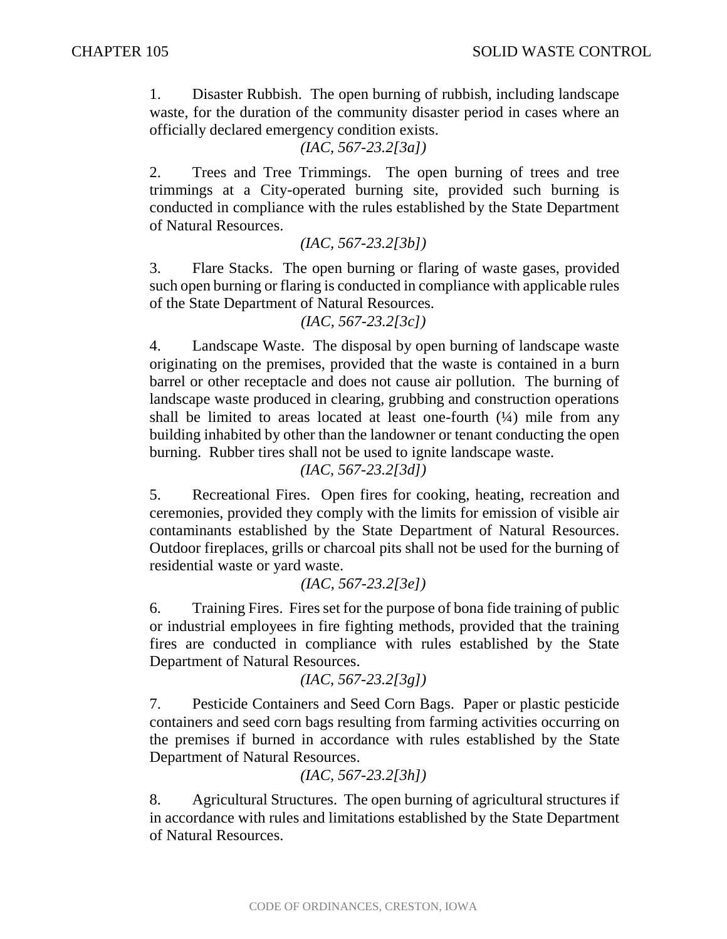1. Disaster Rubbish. The open burning of rubbish, including landscape waste, for the duration of the community disaster period in cases where an officially declared emergency condition exists.

### *(IAC, 567-23.2[3a])*

2. Trees and Tree Trimmings. The open burning of trees and tree trimmings at a City-operated burning site, provided such burning is conducted in compliance with the rules established by the State Department of Natural Resources.

### *(IAC, 567-23.2[3b])*

3. Flare Stacks. The open burning or flaring of waste gases, provided such open burning or flaring is conducted in compliance with applicable rules of the State Department of Natural Resources.

#### *(IAC, 567-23.2[3c])*

4. Landscape Waste. The disposal by open burning of landscape waste originating on the premises, provided that the waste is contained in a burn barrel or other receptacle and does not cause air pollution. The burning of landscape waste produced in clearing, grubbing and construction operations shall be limited to areas located at least one-fourth  $(1/4)$  mile from any building inhabited by other than the landowner or tenant conducting the open burning. Rubber tires shall not be used to ignite landscape waste.

*(IAC, 567-23.2[3d])*

5. Recreational Fires. Open fires for cooking, heating, recreation and ceremonies, provided they comply with the limits for emission of visible air contaminants established by the State Department of Natural Resources. Outdoor fireplaces, grills or charcoal pits shall not be used for the burning of residential waste or yard waste.

*(IAC, 567-23.2[3e])*

6. Training Fires. Fires set for the purpose of bona fide training of public or industrial employees in fire fighting methods, provided that the training fires are conducted in compliance with rules established by the State Department of Natural Resources.

*(IAC, 567-23.2[3g])*

7. Pesticide Containers and Seed Corn Bags. Paper or plastic pesticide containers and seed corn bags resulting from farming activities occurring on the premises if burned in accordance with rules established by the State Department of Natural Resources.

```
(IAC, 567-23.2[3h])
```
8. Agricultural Structures. The open burning of agricultural structures if in accordance with rules and limitations established by the State Department of Natural Resources.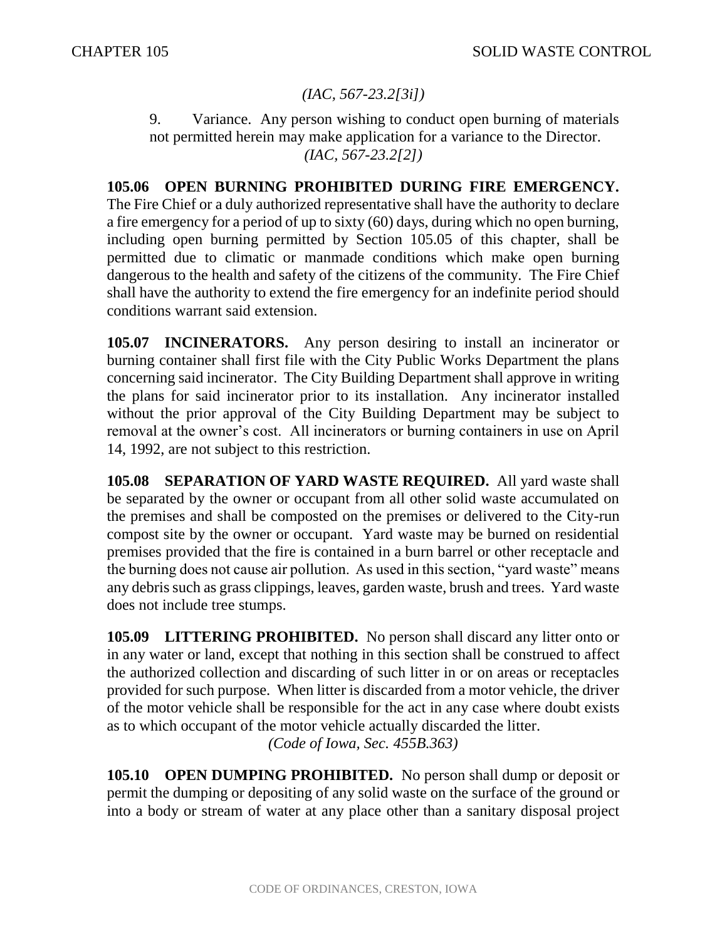## *(IAC, 567-23.2[3i])*

9. Variance. Any person wishing to conduct open burning of materials not permitted herein may make application for a variance to the Director. *(IAC, 567-23.2[2])*

**105.06 OPEN BURNING PROHIBITED DURING FIRE EMERGENCY.** The Fire Chief or a duly authorized representative shall have the authority to declare a fire emergency for a period of up to sixty (60) days, during which no open burning, including open burning permitted by Section 105.05 of this chapter, shall be permitted due to climatic or manmade conditions which make open burning dangerous to the health and safety of the citizens of the community. The Fire Chief shall have the authority to extend the fire emergency for an indefinite period should conditions warrant said extension.

**105.07 INCINERATORS.** Any person desiring to install an incinerator or burning container shall first file with the City Public Works Department the plans concerning said incinerator. The City Building Department shall approve in writing the plans for said incinerator prior to its installation. Any incinerator installed without the prior approval of the City Building Department may be subject to removal at the owner's cost. All incinerators or burning containers in use on April 14, 1992, are not subject to this restriction.

**105.08 SEPARATION OF YARD WASTE REQUIRED.** All yard waste shall be separated by the owner or occupant from all other solid waste accumulated on the premises and shall be composted on the premises or delivered to the City-run compost site by the owner or occupant. Yard waste may be burned on residential premises provided that the fire is contained in a burn barrel or other receptacle and the burning does not cause air pollution. As used in this section, "yard waste" means any debris such as grass clippings, leaves, garden waste, brush and trees. Yard waste does not include tree stumps.

**105.09 LITTERING PROHIBITED.** No person shall discard any litter onto or in any water or land, except that nothing in this section shall be construed to affect the authorized collection and discarding of such litter in or on areas or receptacles provided for such purpose. When litter is discarded from a motor vehicle, the driver of the motor vehicle shall be responsible for the act in any case where doubt exists as to which occupant of the motor vehicle actually discarded the litter.

*(Code of Iowa, Sec. 455B.363)*

**105.10 OPEN DUMPING PROHIBITED.** No person shall dump or deposit or permit the dumping or depositing of any solid waste on the surface of the ground or into a body or stream of water at any place other than a sanitary disposal project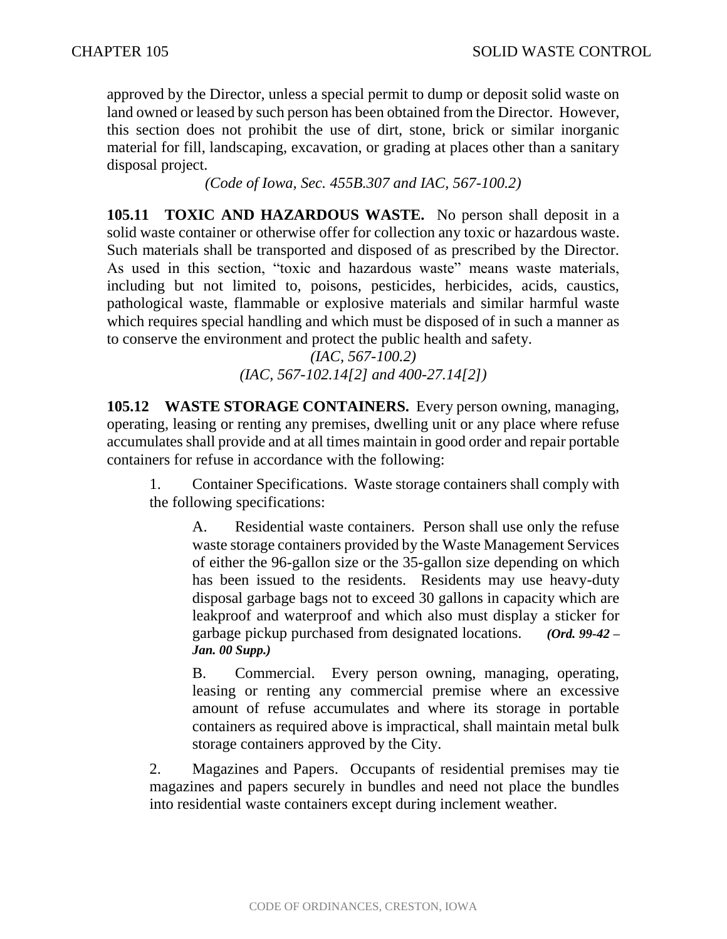approved by the Director, unless a special permit to dump or deposit solid waste on land owned or leased by such person has been obtained from the Director. However, this section does not prohibit the use of dirt, stone, brick or similar inorganic material for fill, landscaping, excavation, or grading at places other than a sanitary disposal project.

*(Code of Iowa, Sec. 455B.307 and IAC, 567-100.2)*

**105.11 TOXIC AND HAZARDOUS WASTE.** No person shall deposit in a solid waste container or otherwise offer for collection any toxic or hazardous waste. Such materials shall be transported and disposed of as prescribed by the Director. As used in this section, "toxic and hazardous waste" means waste materials, including but not limited to, poisons, pesticides, herbicides, acids, caustics, pathological waste, flammable or explosive materials and similar harmful waste which requires special handling and which must be disposed of in such a manner as to conserve the environment and protect the public health and safety.

*(IAC, 567-100.2) (IAC, 567-102.14[2] and 400-27.14[2])*

**105.12 WASTE STORAGE CONTAINERS.** Every person owning, managing, operating, leasing or renting any premises, dwelling unit or any place where refuse accumulates shall provide and at all times maintain in good order and repair portable containers for refuse in accordance with the following:

1. Container Specifications. Waste storage containers shall comply with the following specifications:

A. Residential waste containers. Person shall use only the refuse waste storage containers provided by the Waste Management Services of either the 96-gallon size or the 35-gallon size depending on which has been issued to the residents. Residents may use heavy-duty disposal garbage bags not to exceed 30 gallons in capacity which are leakproof and waterproof and which also must display a sticker for garbage pickup purchased from designated locations. *(Ord. 99-42 – Jan. 00 Supp.)*

B. Commercial. Every person owning, managing, operating, leasing or renting any commercial premise where an excessive amount of refuse accumulates and where its storage in portable containers as required above is impractical, shall maintain metal bulk storage containers approved by the City.

2. Magazines and Papers. Occupants of residential premises may tie magazines and papers securely in bundles and need not place the bundles into residential waste containers except during inclement weather.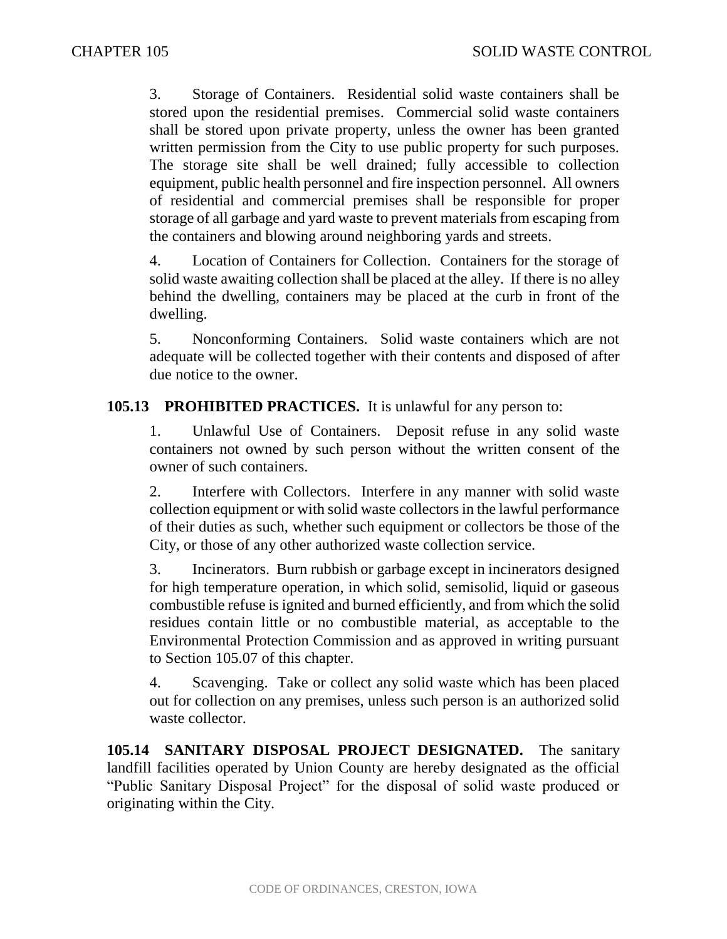3. Storage of Containers. Residential solid waste containers shall be stored upon the residential premises. Commercial solid waste containers shall be stored upon private property, unless the owner has been granted written permission from the City to use public property for such purposes. The storage site shall be well drained; fully accessible to collection equipment, public health personnel and fire inspection personnel. All owners of residential and commercial premises shall be responsible for proper storage of all garbage and yard waste to prevent materials from escaping from the containers and blowing around neighboring yards and streets.

4. Location of Containers for Collection. Containers for the storage of solid waste awaiting collection shall be placed at the alley. If there is no alley behind the dwelling, containers may be placed at the curb in front of the dwelling.

5. Nonconforming Containers. Solid waste containers which are not adequate will be collected together with their contents and disposed of after due notice to the owner.

### **105.13 PROHIBITED PRACTICES.** It is unlawful for any person to:

1. Unlawful Use of Containers. Deposit refuse in any solid waste containers not owned by such person without the written consent of the owner of such containers.

2. Interfere with Collectors. Interfere in any manner with solid waste collection equipment or with solid waste collectors in the lawful performance of their duties as such, whether such equipment or collectors be those of the City, or those of any other authorized waste collection service.

3. Incinerators. Burn rubbish or garbage except in incinerators designed for high temperature operation, in which solid, semisolid, liquid or gaseous combustible refuse is ignited and burned efficiently, and from which the solid residues contain little or no combustible material, as acceptable to the Environmental Protection Commission and as approved in writing pursuant to Section 105.07 of this chapter.

4. Scavenging. Take or collect any solid waste which has been placed out for collection on any premises, unless such person is an authorized solid waste collector.

**105.14 SANITARY DISPOSAL PROJECT DESIGNATED.** The sanitary landfill facilities operated by Union County are hereby designated as the official "Public Sanitary Disposal Project" for the disposal of solid waste produced or originating within the City.